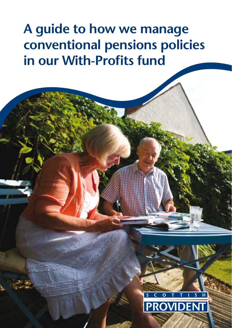# **A guide to how we manage conventional pensions policies in our With-Profits fund**

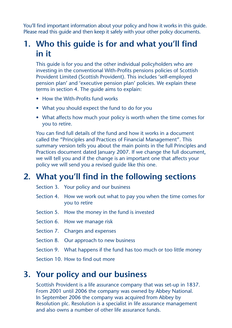You'll find important information about your policy and how it works in this guide. Please read this quide and then keep it safely with your other policy documents.

# **1. Who this guide is for and what you'll find in it**

This quide is for you and the other individual policyholders who are investing in the conventional With-Profits pensions policies of Scottish Provident Limited (Scottish Provident). This includes 'self-employed pension plan' and 'executive pension plan' policies. We explain these terms in section 4. The guide aims to explain:

- How the With-Profits fund works
- What you should expect the fund to do for you
- What affects how much your policy is worth when the time comes for you to retire.

 You can find full details of the fund and how it works in a document called the "Principles and Practices of Financial Management". This summary version tells you about the main points in the full Principles and Practices document dated January 2007. If we change the full document, we will tell you and if the change is an important one that affects your policy we will send you a revised guide like this one.

# **2. What you'll find in the following sections**

- Section 3. Your policy and our business
- Section 4. How we work out what to pay you when the time comes for you to retire
- Section 5. How the money in the fund is invested
- Section 6. How we manage risk
- Section 7. Charges and expenses
- Section 8. Our approach to new business
- Section 9. What happens if the fund has too much or too little money

Section 10. How to find out more

## **3. Your policy and our business**

 Scottish Provident is a life assurance company that was set-up in 1837. From 2001 until 2006 the company was owned by Abbey National. In September 2006 the company was acquired from Abbey by Resolution plc. Resolution is a specialist in life assurance management and also owns a number of other life assurance funds.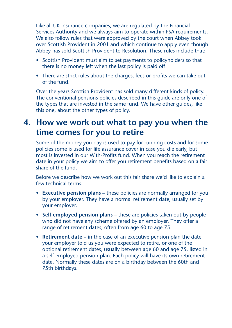Like all UK insurance companies, we are regulated by the Financial Services Authority and we always aim to operate within FSA requirements. We also follow rules that were approved by the court when Abbey took over Scottish Provident in 2001 and which continue to apply even though Abbey has sold Scottish Provident to Resolution. These rules include that:

- Scottish Provident must aim to set payments to policyholders so that there is no money left when the last policy is paid off
- There are strict rules about the charges, fees or profits we can take out of the fund.

 Over the years Scottish Provident has sold many different kinds of policy. The conventional pensions policies described in this guide are only one of the types that are invested in the same fund. We have other guides, like this one, about the other types of policy.

# **4. How we work out what to pay you when the time comes for you to retire**

 Some of the money you pay is used to pay for running costs and for some policies some is used for life assurance cover in case you die early, but most is invested in our With-Profits fund. When you reach the retirement date in your policy we aim to offer you retirement benefits based on a fair share of the fund.

 Before we describe how we work out this fair share we'd like to explain a few technical terms:

- **Executive pension plans** these policies are normally arranged for you by your employer. They have a normal retirement date, usually set by your employer.
- Self employed pension plans these are policies taken out by people who did not have any scheme offered by an employer. They offer a range of retirement dates, often from age 60 to age 75.
- **Retirement date** in the case of an executive pension plan the date your employer told us you were expected to retire, or one of the optional retirement dates, usually between age 60 and age 75, listed in a self employed pension plan. Each policy will have its own retirement date. Normally these dates are on a birthday between the 60th and 75th birthdays.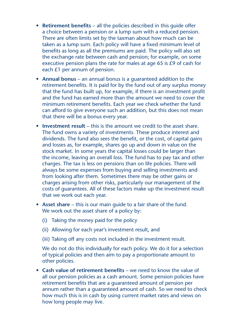- **Retirement benefits** all the policies described in this guide offer a choice between a pension or a lump sum with a reduced pension. There are often limits set by the taxman about how much can be taken as a lump sum. Each policy will have a fixed minimum level of benefits as long as all the premiums are paid. The policy will also set the exchange rate between cash and pension; for example, on some executive pension plans the rate for males at age 65 is £9 of cash for each £1 per annum of pension.
- **Annual bonus** an annual bonus is a guaranteed addition to the retirement benefits. It is paid for by the fund out of any surplus money that the fund has built up, for example, if there is an investment profit and the fund has earned more than the amount we need to cover the minimum retirement benefits. Each year we check whether the fund can afford to give everyone such an addition, but this does not mean that there will be a bonus every year.
- **Investment result** this is the amount we credit to the asset share. The fund owns a variety of investments. These produce interest and dividends. The fund also sees the benefit, or the cost, of capital gains and losses as, for example, shares go up and down in value on the stock market. In some years the capital losses could be larger than the income, leaving an overall loss. The fund has to pay tax and other charges. The tax is less on pensions than on life policies. There will always be some expenses from buying and selling investments and from looking after them. Sometimes there may be other gains or charges arising from other risks, particularly our management of the costs of guarantees. All of these factors make up the investment result that we work out each year.
- **Asset share** this is our main quide to a fair share of the fund. We work out the asset share of a policy by:
	- (i) Taking the money paid for the policy
	- (ii) Allowing for each year's investment result, and
	- (iii) Taking off any costs not included in the investment result.

 We do not do this individually for each policy. We do it for a selection of typical policies and then aim to pay a proportionate amount to other policies.

• **Cash value of retirement benefits** – we need to know the value of all our pension policies as a cash amount. Some pension policies have retirement benefits that are a guaranteed amount of pension per annum rather than a guaranteed amount of cash. So we need to check how much this is in cash by using current market rates and views on how long people may live.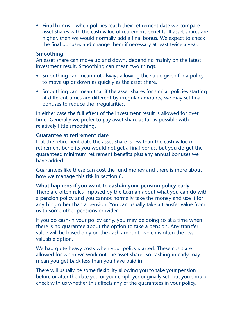• **Final bonus** – when policies reach their retirement date we compare asset shares with the cash value of retirement benefits. If asset shares are higher, then we would normally add a final bonus. We expect to check the final bonuses and change them if necessary at least twice a year.

#### **Smoothing**

 An asset share can move up and down, depending mainly on the latest investment result. Smoothing can mean two things:

- Smoothing can mean not always allowing the value given for a policy to move up or down as quickly as the asset share.
- Smoothing can mean that if the asset shares for similar policies starting at different times are different by irregular amounts, we may set final bonuses to reduce the irregularities.

 In either case the full effect of the investment result is allowed for over time. Generally we prefer to pay asset share as far as possible with relatively little smoothing.

### **Guarantee at retirement date**

 If at the retirement date the asset share is less than the cash value of retirement benefits you would not get a final bonus, but you do get the guaranteed minimum retirement benefits plus any annual bonuses we have added.

 Guarantees like these can cost the fund money and there is more about how we manage this risk in section 6.

### **What happens if you want to cash-in your pension policy early**

 There are often rules imposed by the taxman about what you can do with a pension policy and you cannot normally take the money and use it for anything other than a pension. You can usually take a transfer value from us to some other pensions provider.

 If you do cash-in your policy early, you may be doing so at a time when there is no guarantee about the option to take a pension. Any transfer value will be based only on the cash amount, which is often the less valuable option.

 We had quite heavy costs when your policy started. These costs are allowed for when we work out the asset share. So cashing-in early may mean you get back less than you have paid in.

 There will usually be some flexibility allowing you to take your pension before or after the date you or your employer originally set, but you should check with us whether this affects any of the guarantees in your policy.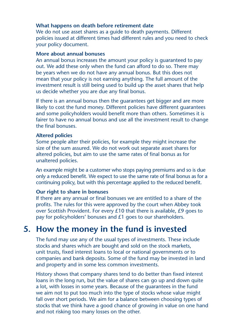### **What happens on death before retirement date**

We do not use asset shares as a quide to death payments. Different policies issued at different times had different rules and you need to check your policy document.

#### **More about annual bonuses**

 An annual bonus increases the amount your policy is guaranteed to pay out. We add these only when the fund can afford to do so. There may be years when we do not have any annual bonus. But this does not mean that your policy is not earning anything. The full amount of the investment result is still being used to build up the asset shares that help us decide whether you are due any final bonus.

 If there is an annual bonus then the guarantees get bigger and are more likely to cost the fund money. Different policies have different guarantees and some policyholders would benefit more than others. Sometimes it is fairer to have no annual bonus and use all the investment result to change the final bonuses.

#### **Altered policies**

 Some people alter their policies, for example they might increase the size of the sum assured. We do not work out separate asset shares for altered policies, but aim to use the same rates of final bonus as for unaltered policies.

 An example might be a customer who stops paying premiums and so is due only a reduced benefit. We expect to use the same rate of final bonus as for a continuing policy, but with this percentage applied to the reduced benefit.

### **Our right to share in bonuses**

 If there are any annual or final bonuses we are entitled to a share of the profits. The rules for this were approved by the court when Abbey took over Scottish Provident. For every £10 that there is available, £9 goes to pay for policyholders' bonuses and £1 goes to our shareholders.

### **5. How the money in the fund is invested**

 The fund may use any of the usual types of investments. These include stocks and shares which are bought and sold on the stock markets, unit trusts, fixed interest loans to local or national governments or to companies and bank deposits. Some of the fund may be invested in land and property and in some less common investments.

 History shows that company shares tend to do better than fixed interest loans in the long run, but the value of shares can go up and down quite a lot, with losses in some years. Because of the guarantees in the fund we aim not to put too much into the type of stocks whose value might fall over short periods. We aim for a balance between choosing types of stocks that we think have a good chance of growing in value on one hand and not risking too many losses on the other.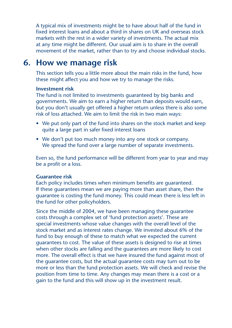A typical mix of investments might be to have about half of the fund in fixed interest loans and about a third in shares on UK and overseas stock markets with the rest in a wider variety of investments. The actual mix at any time might be different. Our usual aim is to share in the overall movement of the market, rather than to try and choose individual stocks.

### **6. How we manage risk**

 This section tells you a little more about the main risks in the fund, how these might affect you and how we try to manage the risks.

#### **Investment risk**

 The fund is not limited to investments guaranteed by big banks and governments. We aim to earn a higher return than deposits would earn, but you don't usually get offered a higher return unless there is also some risk of loss attached. We aim to limit the risk in two main ways:

- We put only part of the fund into shares on the stock market and keep quite a large part in safer fixed interest loans
- We don't put too much money into any one stock or company. We spread the fund over a large number of separate investments.

 Even so, the fund performance will be different from year to year and may be a profit or a loss.

### **Guarantee risk**

 Each policy includes times when minimum benefits are guaranteed. If these guarantees mean we are paying more than asset share, then the guarantee is costing the fund money. This could mean there is less left in the fund for other policyholders.

 Since the middle of 2004, we have been managing these guarantee costs through a complex set of 'fund protection assets'. These are special investments whose value changes with the overall level of the stock market and as interest rates change. We invested about 6% of the fund to buy enough of these to match what we expected the current guarantees to cost. The value of these assets is designed to rise at times when other stocks are falling and the guarantees are more likely to cost more. The overall effect is that we have insured the fund against most of the guarantee costs, but the actual guarantee costs may turn out to be more or less than the fund protection assets. We will check and revise the position from time to time. Any changes may mean there is a cost or a gain to the fund and this will show up in the investment result.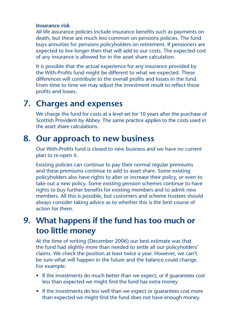### **Insurance risk**

 All life assurance policies include insurance benefits such as payments on death, but these are much less common on pensions policies. The fund buys annuities for pensions policyholders on retirement. If pensioners are expected to live longer then that will add to our costs. The expected cost of any insurance is allowed for in the asset share calculation.

 It is possible that the actual experience for any insurance provided by the With-Profits fund might be different to what we expected. These differences will contribute to the overall profits and losses in the fund. From time to time we may adjust the investment result to reflect these profits and losses.

# **7. Charges and expenses**

 We charge the fund for costs at a level set for 10 years after the purchase of Scottish Provident by Abbey. The same practice applies to the costs used in the asset share calculations.

### **8. Our approach to new business**

 Our With-Profits fund is closed to new business and we have no current plan to re-open it.

 Existing policies can continue to pay their normal regular premiums and these premiums continue to add to asset share. Some existing policyholders also have rights to alter or increase their policy, or even to take out a new policy. Some existing pension schemes continue to have rights to buy further benefits for existing members and to admit new members. All this is possible, but customers and scheme trustees should always consider taking advice as to whether this is the best course of action for them.

# **9. What happens if the fund has too much or too little money**

 At the time of writing (December 2006) our best estimate was that the fund had slightly more than needed to settle all our policyholders' claims. We check the position at least twice a year. However, we can't be sure what will happen in the future and the balance could change. For example:

- If the investments do much better than we expect, or if quarantees cost less than expected we might find the fund has extra money
- If the investments do less well than we expect or quarantees cost more than expected we might find the fund does not have enough money.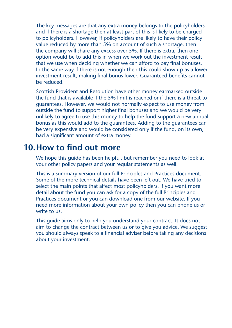The key messages are that any extra money belongs to the policyholders and if there is a shortage then at least part of this is likely to be charged to policyholders. However, if policyholders are likely to have their policy value reduced by more than 5% on account of such a shortage, then the company will share any excess over 5%. If there is extra, then one option would be to add this in when we work out the investment result that we use when deciding whether we can afford to pay final bonuses. In the same way if there is not enough then this could show up as a lower investment result, making final bonus lower. Guaranteed benefits cannot be reduced.

 Scottish Provident and Resolution have other money earmarked outside the fund that is available if the 5% limit is reached or if there is a threat to guarantees. However, we would not normally expect to use money from outside the fund to support higher final bonuses and we would be very unlikely to agree to use this money to help the fund support a new annual bonus as this would add to the guarantees. Adding to the guarantees can be very expensive and would be considered only if the fund, on its own, had a significant amount of extra money.

### **10.How to find out more**

 We hope this guide has been helpful, but remember you need to look at your other policy papers and your regular statements as well.

 This is a summary version of our full Principles and Practices document. Some of the more technical details have been left out. We have tried to select the main points that affect most policyholders. If you want more detail about the fund you can ask for a copy of the full Principles and Practices document or you can download one from our website. If you need more information about your own policy then you can phone us or write to us.

 This guide aims only to help you understand your contract. It does not aim to change the contract between us or to give you advice. We suggest you should always speak to a financial adviser before taking any decisions about your investment.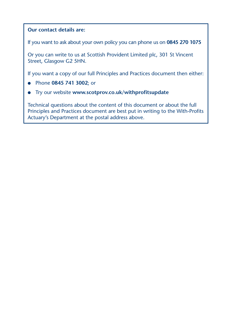### **Our contact details are:**

If you want to ask about your own policy you can phone us on **0845 270 1075**

Or you can write to us at Scottish Provident Limited plc, 301 St Vincent Street, Glasgow G2 5HN.

If you want a copy of our full Principles and Practices document then either:

- Phone **0845 741 3002**; or
- Try our website **www.scotprov.co.uk/withprofitsupdate**

Technical questions about the content of this document or about the full Principles and Practices document are best put in writing to the With-Profits Actuary's Department at the postal address above.